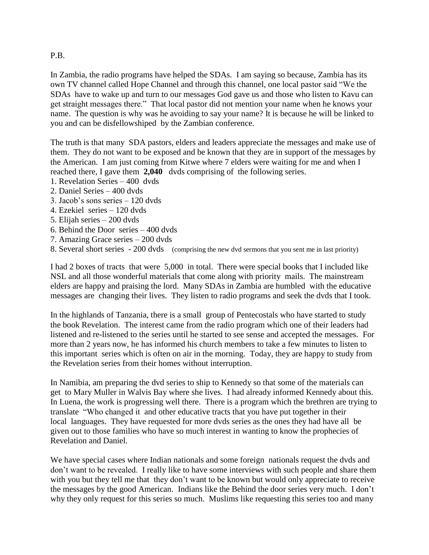## P.B.

In Zambia, the radio programs have helped the SDAs. I am saying so because, Zambia has its own TV channel called Hope Channel and through this channel, one local pastor said "We the SDAs have to wake up and turn to our messages God gave us and those who listen to Kavu can get straight messages there." That local pastor did not mention your name when he knows your name. The question is why was he avoiding to say your name? It is because he will be linked to you and can be disfellowshiped by the Zambian conference.

The truth is that many SDA pastors, elders and leaders appreciate the messages and make use of them. They do not want to be exposed and be known that they are in support of the messages by the American. I am just coming from Kitwe where 7 elders were waiting for me and when I reached there, I gave them **2,040** dvds comprising of the following series.

- 1. Revelation Series 400 dvds
- 2. Daniel Series 400 dvds
- 3. Jacob's sons series 120 dvds
- 4. Ezekiel series 120 dvds
- 5. Elijah series 200 dvds
- 6. Behind the Door series 400 dvds
- 7. Amazing Grace series 200 dvds
- 8. Several short series 200 dvds (comprising the new dvd sermons that you sent me in last priority)

I had 2 boxes of tracts that were 5,000 in total. There were special books that I included like NSL and all those wonderful materials that come along with priority mails. The mainstream elders are happy and praising the lord. Many SDAs in Zambia are humbled with the educative messages are changing their lives. They listen to radio programs and seek the dvds that I took.

In the highlands of Tanzania, there is a small group of Pentecostals who have started to study the book Revelation. The interest came from the radio program which one of their leaders had listened and re-listened to the series until he started to see sense and accepted the messages. For more than 2 years now, he has informed his church members to take a few minutes to listen to this important series which is often on air in the morning. Today, they are happy to study from the Revelation series from their homes without interruption.

In Namibia, am preparing the dvd series to ship to Kennedy so that some of the materials can get to Mary Muller in Walvis Bay where she lives. I had already informed Kennedy about this. In Luena, the work is progressing well there. There is a program which the brethren are trying to translate "Who changed it and other educative tracts that you have put together in their local languages. They have requested for more dvds series as the ones they had have all be given out to those families who have so much interest in wanting to know the prophecies of Revelation and Daniel.

We have special cases where Indian nationals and some foreign nationals request the dvds and don't want to be revealed. I really like to have some interviews with such people and share them with you but they tell me that they don't want to be known but would only appreciate to receive the messages by the good American. Indians like the Behind the door series very much. I don't why they only request for this series so much. Muslims like requesting this series too and many